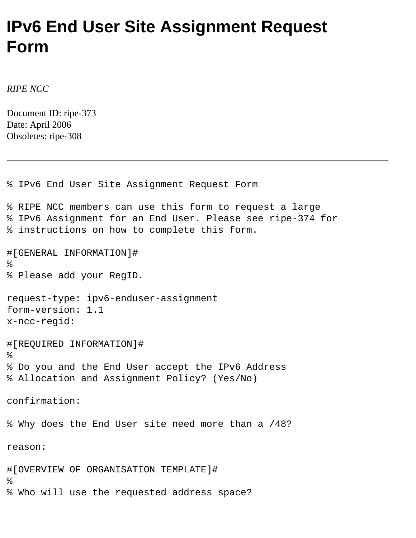## **IPv6 End User Site Assignment Request Form**

*RIPE NCC*

Document ID: ripe-373 Date: April 2006 Obsoletes: ripe-308

% IPv6 End User Site Assignment Request Form % RIPE NCC members can use this form to request a large % IPv6 Assignment for an End User. Please see ripe-374 for % instructions on how to complete this form. #[GENERAL INFORMATION]# % % Please add your RegID. request-type: ipv6-enduser-assignment form-version: 1.1 x-ncc-regid: #[REQUIRED INFORMATION]#  $\epsilon$ % Do you and the End User accept the IPv6 Address % Allocation and Assignment Policy? (Yes/No) confirmation: % Why does the End User site need more than a /48? reason: #[OVERVIEW OF ORGANISATION TEMPLATE]# % % Who will use the requested address space?